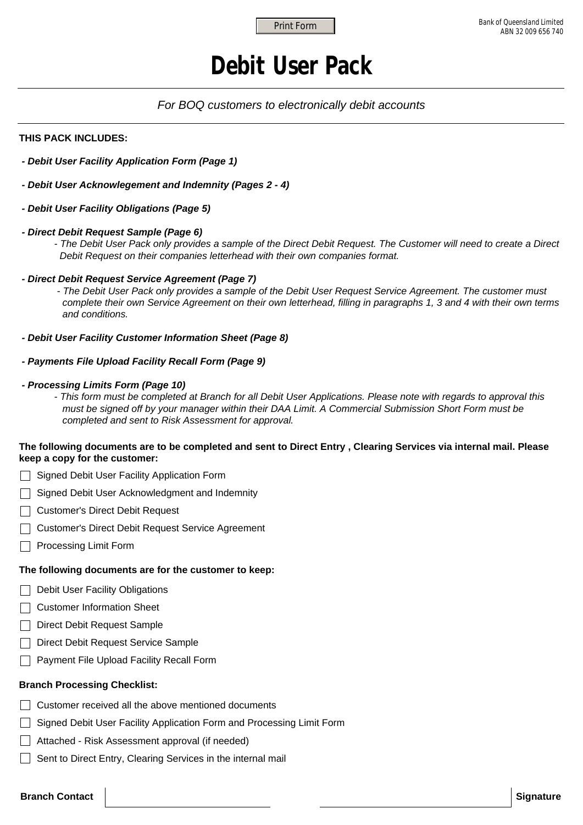# **Debit User Pack**

### *For BOQ customers to electronically debit accounts*

#### **THIS PACK INCLUDES:**

- *Debit User Facility Application Form (Page 1)*
- *Debit User Acknowlegement and Indemnity (Pages 2 4)*
- *Debit User Facility Obligations (Page 5)*

### *- Direct Debit Request Sample (Page 6)*

- *The Debit User Pack only provides a sample of the Direct Debit Request. The Customer will need to create a Direct Debit Request on their companies letterhead with their own companies format.*
- *Direct Debit Request Service Agreement (Page 7)* 
	- *The Debit User Pack only provides a sample of the Debit User Request Service Agreement. The customer must complete their own Service Agreement on their own letterhead, filling in paragraphs 1, 3 and 4 with their own terms and conditions.*
- *Debit User Facility Customer Information Sheet (Page 8)*
- *Payments File Upload Facility Recall Form (Page 9)*
- *Processing Limits Form (Page 10)* 
	- *This form must be completed at Branch for all Debit User Applications. Please note with regards to approval this must be signed off by your manager within their DAA Limit. A Commercial Submission Short Form must be completed and sent to Risk Assessment for approval.*

### **The following documents are to be completed and sent to Direct Entry , Clearing Services via internal mail. Please keep a copy for the customer:**

- Signed Debit User Facility Application Form
- Signed Debit User Acknowledgment and Indemnity
- □ Customer's Direct Debit Request
- Customer's Direct Debit Request Service Agreement
- **Processing Limit Form**

#### **The following documents are for the customer to keep:**

- Debit User Facility Obligations
- Customer Information Sheet
- Direct Debit Request Sample
- Direct Debit Request Service Sample
- **Payment File Upload Facility Recall Form**

#### **Branch Processing Checklist:**

- $\Box$  Customer received all the above mentioned documents
- Signed Debit User Facility Application Form and Processing Limit Form
- Attached Risk Assessment approval (if needed)
- Sent to Direct Entry, Clearing Services in the internal mail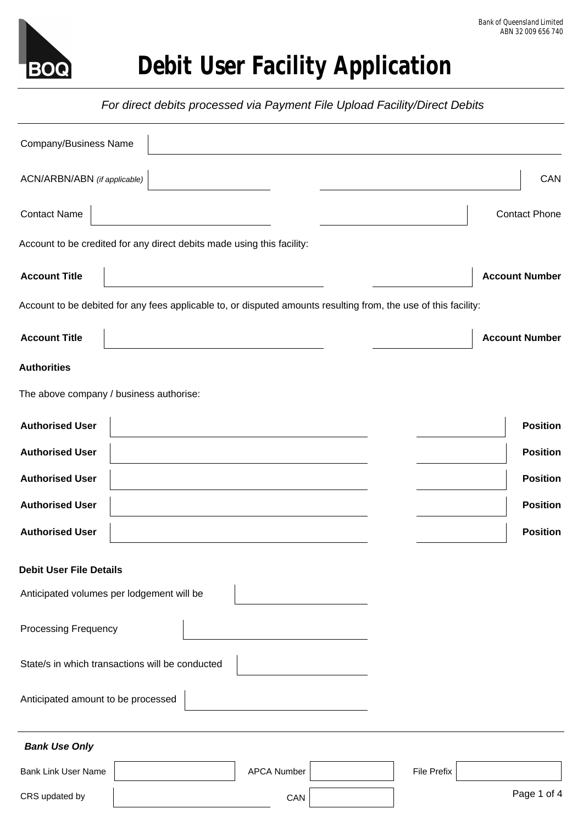

 *For direct debits processed via Payment File Upload Facility/Direct Debits*

| <b>Company/Business Name</b>              |                                                                                                                 |                    |                    |                       |
|-------------------------------------------|-----------------------------------------------------------------------------------------------------------------|--------------------|--------------------|-----------------------|
| ACN/ARBN/ABN (if applicable)              |                                                                                                                 |                    |                    | CAN                   |
| <b>Contact Name</b>                       |                                                                                                                 |                    |                    | <b>Contact Phone</b>  |
|                                           | Account to be credited for any direct debits made using this facility:                                          |                    |                    |                       |
| <b>Account Title</b>                      |                                                                                                                 |                    |                    | <b>Account Number</b> |
|                                           | Account to be debited for any fees applicable to, or disputed amounts resulting from, the use of this facility: |                    |                    |                       |
| <b>Account Title</b>                      |                                                                                                                 |                    |                    | <b>Account Number</b> |
| <b>Authorities</b>                        |                                                                                                                 |                    |                    |                       |
| The above company / business authorise:   |                                                                                                                 |                    |                    |                       |
| <b>Authorised User</b>                    |                                                                                                                 |                    |                    | <b>Position</b>       |
| <b>Authorised User</b>                    |                                                                                                                 |                    |                    | <b>Position</b>       |
| <b>Authorised User</b>                    |                                                                                                                 |                    |                    | <b>Position</b>       |
| <b>Authorised User</b>                    |                                                                                                                 |                    |                    | <b>Position</b>       |
| <b>Authorised User</b>                    |                                                                                                                 |                    |                    | <b>Position</b>       |
| <b>Debit User File Details</b>            |                                                                                                                 |                    |                    |                       |
| Anticipated volumes per lodgement will be |                                                                                                                 |                    |                    |                       |
| <b>Processing Frequency</b>               |                                                                                                                 |                    |                    |                       |
|                                           | State/s in which transactions will be conducted                                                                 |                    |                    |                       |
| Anticipated amount to be processed        |                                                                                                                 |                    |                    |                       |
| <b>Bank Use Only</b>                      |                                                                                                                 |                    |                    |                       |
| <b>Bank Link User Name</b>                |                                                                                                                 | <b>APCA Number</b> | <b>File Prefix</b> |                       |
| CRS updated by                            |                                                                                                                 | CAN                |                    | Page 1 of 4           |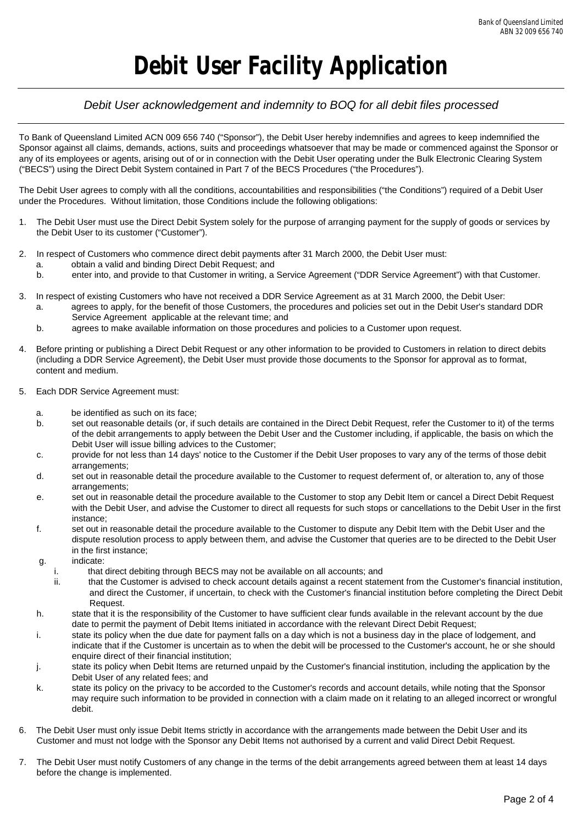### *Debit User acknowledgement and indemnity to BOQ for all debit files processed*

To Bank of Queensland Limited ACN 009 656 740 ("Sponsor"), the Debit User hereby indemnifies and agrees to keep indemnified the Sponsor against all claims, demands, actions, suits and proceedings whatsoever that may be made or commenced against the Sponsor or any of its employees or agents, arising out of or in connection with the Debit User operating under the Bulk Electronic Clearing System ("BECS") using the Direct Debit System contained in Part 7 of the BECS Procedures ("the Procedures").

The Debit User agrees to comply with all the conditions, accountabilities and responsibilities ("the Conditions") required of a Debit User under the Procedures. Without limitation, those Conditions include the following obligations:

- 1. The Debit User must use the Direct Debit System solely for the purpose of arranging payment for the supply of goods or services by the Debit User to its customer ("Customer").
- 2. In respect of Customers who commence direct debit payments after 31 March 2000, the Debit User must:
	- a. obtain a valid and binding Direct Debit Request; and
	- b. enter into, and provide to that Customer in writing, a Service Agreement ("DDR Service Agreement") with that Customer.
- 3. In respect of existing Customers who have not received a DDR Service Agreement as at 31 March 2000, the Debit User:
	- a. agrees to apply, for the benefit of those Customers, the procedures and policies set out in the Debit User's standard DDR Service Agreement applicable at the relevant time; and
	- b. agrees to make available information on those procedures and policies to a Customer upon request.
- 4. Before printing or publishing a Direct Debit Request or any other information to be provided to Customers in relation to direct debits (including a DDR Service Agreement), the Debit User must provide those documents to the Sponsor for approval as to format, content and medium.
- 5. Each DDR Service Agreement must:
	- a. be identified as such on its face;
	- b. set out reasonable details (or, if such details are contained in the Direct Debit Request, refer the Customer to it) of the terms of the debit arrangements to apply between the Debit User and the Customer including, if applicable, the basis on which the Debit User will issue billing advices to the Customer;
	- c. provide for not less than 14 days' notice to the Customer if the Debit User proposes to vary any of the terms of those debit arrangements;
	- d. set out in reasonable detail the procedure available to the Customer to request deferment of, or alteration to, any of those arrangements;
	- e. set out in reasonable detail the procedure available to the Customer to stop any Debit Item or cancel a Direct Debit Request with the Debit User, and advise the Customer to direct all requests for such stops or cancellations to the Debit User in the first instance;
	- f. set out in reasonable detail the procedure available to the Customer to dispute any Debit Item with the Debit User and the dispute resolution process to apply between them, and advise the Customer that queries are to be directed to the Debit User in the first instance;
	- g. indicate:
		- i. that direct debiting through BECS may not be available on all accounts; and
		- ii. that the Customer is advised to check account details against a recent statement from the Customer's financial institution, and direct the Customer, if uncertain, to check with the Customer's financial institution before completing the Direct Debit Request.
	- h. state that it is the responsibility of the Customer to have sufficient clear funds available in the relevant account by the due date to permit the payment of Debit Items initiated in accordance with the relevant Direct Debit Request;
	- i. state its policy when the due date for payment falls on a day which is not a business day in the place of lodgement, and indicate that if the Customer is uncertain as to when the debit will be processed to the Customer's account, he or she should enquire direct of their financial institution;
	- j. state its policy when Debit Items are returned unpaid by the Customer's financial institution, including the application by the Debit User of any related fees; and
	- k. state its policy on the privacy to be accorded to the Customer's records and account details, while noting that the Sponsor may require such information to be provided in connection with a claim made on it relating to an alleged incorrect or wrongful debit.
- 6. The Debit User must only issue Debit Items strictly in accordance with the arrangements made between the Debit User and its Customer and must not lodge with the Sponsor any Debit Items not authorised by a current and valid Direct Debit Request.
- 7. The Debit User must notify Customers of any change in the terms of the debit arrangements agreed between them at least 14 days before the change is implemented.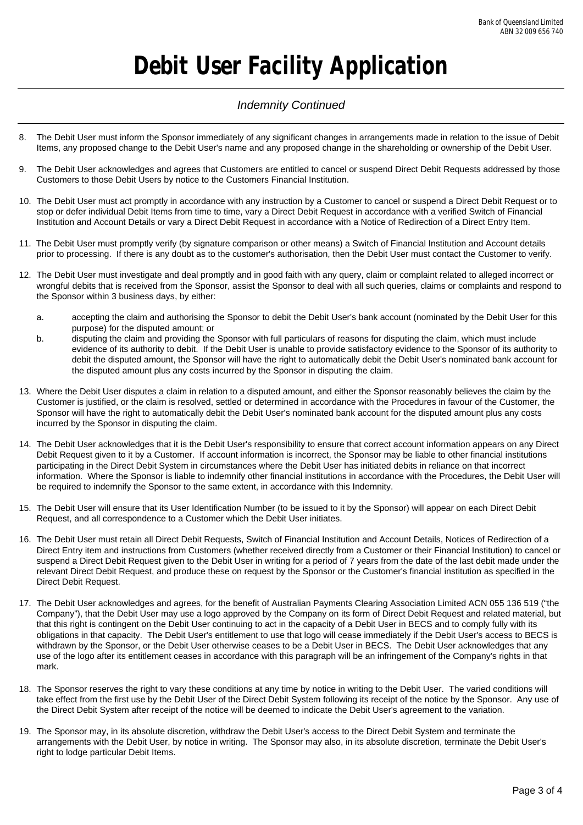### *Indemnity Continued*

- 8. The Debit User must inform the Sponsor immediately of any significant changes in arrangements made in relation to the issue of Debit Items, any proposed change to the Debit User's name and any proposed change in the shareholding or ownership of the Debit User.
- 9. The Debit User acknowledges and agrees that Customers are entitled to cancel or suspend Direct Debit Requests addressed by those Customers to those Debit Users by notice to the Customers Financial Institution.
- 10. The Debit User must act promptly in accordance with any instruction by a Customer to cancel or suspend a Direct Debit Request or to stop or defer individual Debit Items from time to time, vary a Direct Debit Request in accordance with a verified Switch of Financial Institution and Account Details or vary a Direct Debit Request in accordance with a Notice of Redirection of a Direct Entry Item.
- 11. The Debit User must promptly verify (by signature comparison or other means) a Switch of Financial Institution and Account details prior to processing. If there is any doubt as to the customer's authorisation, then the Debit User must contact the Customer to verify.
- 12. The Debit User must investigate and deal promptly and in good faith with any query, claim or complaint related to alleged incorrect or wrongful debits that is received from the Sponsor, assist the Sponsor to deal with all such queries, claims or complaints and respond to the Sponsor within 3 business days, by either:
	- a. accepting the claim and authorising the Sponsor to debit the Debit User's bank account (nominated by the Debit User for this purpose) for the disputed amount; or
	- b. disputing the claim and providing the Sponsor with full particulars of reasons for disputing the claim, which must include evidence of its authority to debit. If the Debit User is unable to provide satisfactory evidence to the Sponsor of its authority to debit the disputed amount, the Sponsor will have the right to automatically debit the Debit User's nominated bank account for the disputed amount plus any costs incurred by the Sponsor in disputing the claim.
- 13. Where the Debit User disputes a claim in relation to a disputed amount, and either the Sponsor reasonably believes the claim by the Customer is justified, or the claim is resolved, settled or determined in accordance with the Procedures in favour of the Customer, the Sponsor will have the right to automatically debit the Debit User's nominated bank account for the disputed amount plus any costs incurred by the Sponsor in disputing the claim.
- 14. The Debit User acknowledges that it is the Debit User's responsibility to ensure that correct account information appears on any Direct Debit Request given to it by a Customer. If account information is incorrect, the Sponsor may be liable to other financial institutions participating in the Direct Debit System in circumstances where the Debit User has initiated debits in reliance on that incorrect information. Where the Sponsor is liable to indemnify other financial institutions in accordance with the Procedures, the Debit User will be required to indemnify the Sponsor to the same extent, in accordance with this Indemnity.
- 15. The Debit User will ensure that its User Identification Number (to be issued to it by the Sponsor) will appear on each Direct Debit Request, and all correspondence to a Customer which the Debit User initiates.
- 16. The Debit User must retain all Direct Debit Requests, Switch of Financial Institution and Account Details, Notices of Redirection of a Direct Entry item and instructions from Customers (whether received directly from a Customer or their Financial Institution) to cancel or suspend a Direct Debit Request given to the Debit User in writing for a period of 7 years from the date of the last debit made under the relevant Direct Debit Request, and produce these on request by the Sponsor or the Customer's financial institution as specified in the Direct Debit Request.
- 17. The Debit User acknowledges and agrees, for the benefit of Australian Payments Clearing Association Limited ACN 055 136 519 ("the Company"), that the Debit User may use a logo approved by the Company on its form of Direct Debit Request and related material, but that this right is contingent on the Debit User continuing to act in the capacity of a Debit User in BECS and to comply fully with its obligations in that capacity. The Debit User's entitlement to use that logo will cease immediately if the Debit User's access to BECS is withdrawn by the Sponsor, or the Debit User otherwise ceases to be a Debit User in BECS. The Debit User acknowledges that any use of the logo after its entitlement ceases in accordance with this paragraph will be an infringement of the Company's rights in that mark.
- 18. The Sponsor reserves the right to vary these conditions at any time by notice in writing to the Debit User. The varied conditions will take effect from the first use by the Debit User of the Direct Debit System following its receipt of the notice by the Sponsor. Any use of the Direct Debit System after receipt of the notice will be deemed to indicate the Debit User's agreement to the variation.
- 19. The Sponsor may, in its absolute discretion, withdraw the Debit User's access to the Direct Debit System and terminate the arrangements with the Debit User, by notice in writing. The Sponsor may also, in its absolute discretion, terminate the Debit User's right to lodge particular Debit Items.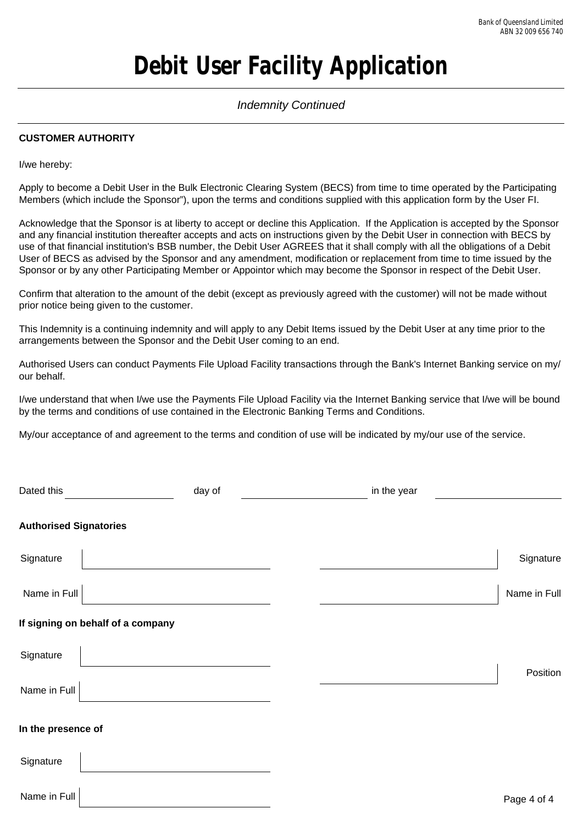### *Indemnity Continued*

### **CUSTOMER AUTHORITY**

I/we hereby:

Name in Full

Apply to become a Debit User in the Bulk Electronic Clearing System (BECS) from time to time operated by the Participating Members (which include the Sponsor"), upon the terms and conditions supplied with this application form by the User FI.

Acknowledge that the Sponsor is at liberty to accept or decline this Application. If the Application is accepted by the Sponsor and any financial institution thereafter accepts and acts on instructions given by the Debit User in connection with BECS by use of that financial institution's BSB number, the Debit User AGREES that it shall comply with all the obligations of a Debit User of BECS as advised by the Sponsor and any amendment, modification or replacement from time to time issued by the Sponsor or by any other Participating Member or Appointor which may become the Sponsor in respect of the Debit User.

Confirm that alteration to the amount of the debit (except as previously agreed with the customer) will not be made without prior notice being given to the customer.

This Indemnity is a continuing indemnity and will apply to any Debit Items issued by the Debit User at any time prior to the arrangements between the Sponsor and the Debit User coming to an end.

Authorised Users can conduct Payments File Upload Facility transactions through the Bank's Internet Banking service on my/ our behalf.

I/we understand that when I/we use the Payments File Upload Facility via the Internet Banking service that I/we will be bound by the terms and conditions of use contained in the Electronic Banking Terms and Conditions.

My/our acceptance of and agreement to the terms and condition of use will be indicated by my/our use of the service.

| Dated this                        | day of | in the year |              |
|-----------------------------------|--------|-------------|--------------|
| <b>Authorised Signatories</b>     |        |             |              |
| Signature                         |        |             | Signature    |
| Name in Full                      |        |             | Name in Full |
| If signing on behalf of a company |        |             |              |
| Signature                         |        |             | Position     |
| Name in Full                      |        |             |              |
| In the presence of                |        |             |              |
| Signature                         |        |             |              |
| $\blacksquare$                    |        |             |              |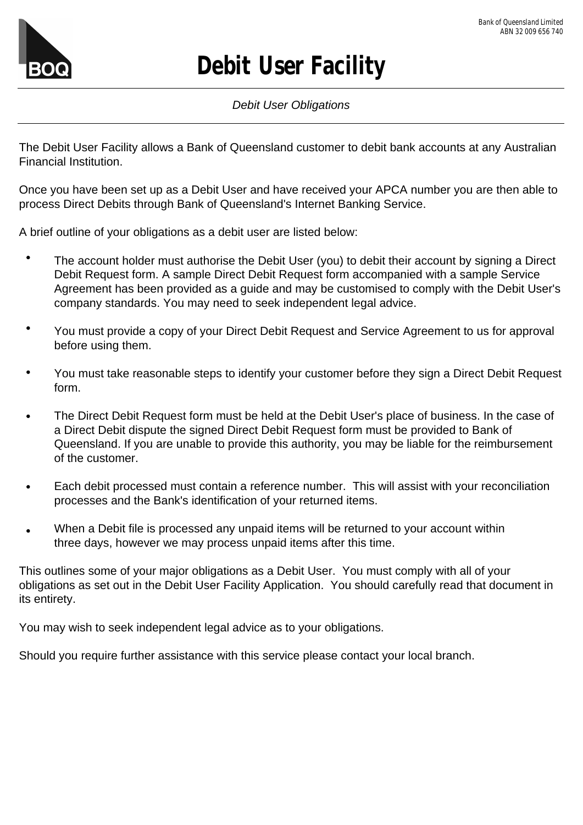

# **Debit User Facility**

## *Debit User Obligations*

The Debit User Facility allows a Bank of Queensland customer to debit bank accounts at any Australian Financial Institution.

Once you have been set up as a Debit User and have received your APCA number you are then able to process Direct Debits through Bank of Queensland's Internet Banking Service.

A brief outline of your obligations as a debit user are listed below:

- The account holder must authorise the Debit User (you) to debit their account by signing a Direct Debit Request form. A sample Direct Debit Request form accompanied with a sample Service Agreement has been provided as a guide and may be customised to comply with the Debit User's company standards. You may need to seek independent legal advice.
- $\bullet$ You must provide a copy of your Direct Debit Request and Service Agreement to us for approval before using them.
- $\bullet$ You must take reasonable steps to identify your customer before they sign a Direct Debit Request form.
- The Direct Debit Request form must be held at the Debit User's place of business. In the case of  $\bullet$ a Direct Debit dispute the signed Direct Debit Request form must be provided to Bank of Queensland. If you are unable to provide this authority, you may be liable for the reimbursement of the customer.
- $\bullet$ Each debit processed must contain a reference number. This will assist with your reconciliation processes and the Bank's identification of your returned items.
- When a Debit file is processed any unpaid items will be returned to your account within three days, however we may process unpaid items after this time.

This outlines some of your major obligations as a Debit User. You must comply with all of your obligations as set out in the Debit User Facility Application. You should carefully read that document in its entirety.

You may wish to seek independent legal advice as to your obligations.

Should you require further assistance with this service please contact your local branch.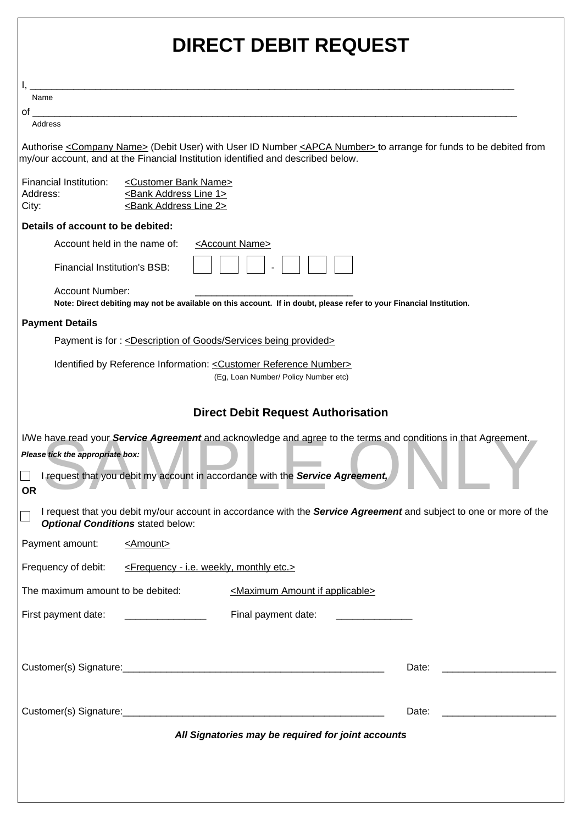| <b>DIRECT DEBIT REQUEST</b>                                                                                                                                                                                                                      |  |  |  |  |
|--------------------------------------------------------------------------------------------------------------------------------------------------------------------------------------------------------------------------------------------------|--|--|--|--|
|                                                                                                                                                                                                                                                  |  |  |  |  |
| Name                                                                                                                                                                                                                                             |  |  |  |  |
| of the control of the control of the control of the control of the control of the control of the control of th<br>Address                                                                                                                        |  |  |  |  |
| Authorise <company name=""> (Debit User) with User ID Number <apca number=""> to arrange for funds to be debited from<br/>my/our account, and at the Financial Institution identified and described below.</apca></company>                      |  |  |  |  |
| Financial Institution:<br><customer bank="" name=""><br/><bank 1="" address="" line=""><br/>Address:<br/><bank 2="" address="" line=""><br/>City:</bank></bank></customer>                                                                       |  |  |  |  |
| Details of account to be debited:                                                                                                                                                                                                                |  |  |  |  |
| Account held in the name of:<br><account name=""></account>                                                                                                                                                                                      |  |  |  |  |
| <b>Financial Institution's BSB:</b>                                                                                                                                                                                                              |  |  |  |  |
| Account Number:<br>Note: Direct debiting may not be available on this account. If in doubt, please refer to your Financial Institution.                                                                                                          |  |  |  |  |
| <b>Payment Details</b>                                                                                                                                                                                                                           |  |  |  |  |
| Payment is for: <description being="" goods="" of="" provided="" services=""></description>                                                                                                                                                      |  |  |  |  |
| Identified by Reference Information: < Customer Reference Number><br>(Eg, Loan Number/ Policy Number etc)                                                                                                                                        |  |  |  |  |
| <b>Direct Debit Request Authorisation</b>                                                                                                                                                                                                        |  |  |  |  |
| I/We have read your Service Agreement and acknowledge and agree to the terms and conditions in that Agreement.<br>Please tick the appropriate box:<br>I request that you debit my account in accordance with the Service Agreement,<br><b>OR</b> |  |  |  |  |
| I request that you debit my/our account in accordance with the Service Agreement and subject to one or more of the<br><b>Optional Conditions stated below:</b>                                                                                   |  |  |  |  |
| Payment amount:<br><amount></amount>                                                                                                                                                                                                             |  |  |  |  |
| Frequency of debit:<br><frequency -="" etc.="" i.e.="" monthly="" weekly,=""></frequency>                                                                                                                                                        |  |  |  |  |
| The maximum amount to be debited:<br><maximum amount="" applicable="" if=""></maximum>                                                                                                                                                           |  |  |  |  |
| Final payment date:<br>First payment date:                                                                                                                                                                                                       |  |  |  |  |
| Date:                                                                                                                                                                                                                                            |  |  |  |  |
| Date:                                                                                                                                                                                                                                            |  |  |  |  |
| All Signatories may be required for joint accounts                                                                                                                                                                                               |  |  |  |  |
|                                                                                                                                                                                                                                                  |  |  |  |  |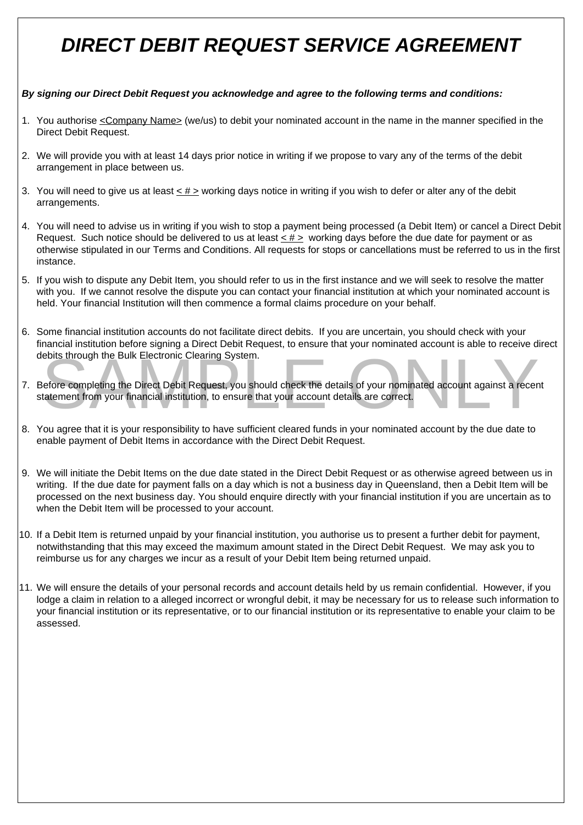# *DIRECT DEBIT REQUEST SERVICE AGREEMENT*

### *By signing our Direct Debit Request you acknowledge and agree to the following terms and conditions:*

- 1. You authorise <u><Company Name></u> (we/us) to debit your nominated account in the name in the manner specified in the Direct Debit Request.
- 2. We will provide you with at least 14 days prior notice in writing if we propose to vary any of the terms of the debit arrangement in place between us.
- 3. You will need to give us at least  $\leq \# \geq$  working days notice in writing if you wish to defer or alter any of the debit arrangements.
- 4. You will need to advise us in writing if you wish to stop a payment being processed (a Debit Item) or cancel a Direct Debit Request. Such notice should be delivered to us at least  $\leq$  #  $\geq$  working days before the due date for payment or as otherwise stipulated in our Terms and Conditions. All requests for stops or cancellations must be referred to us in the first instance.
- 5. If you wish to dispute any Debit Item, you should refer to us in the first instance and we will seek to resolve the matter with you. If we cannot resolve the dispute you can contact your financial institution at which your nominated account is held. Your financial Institution will then commence a formal claims procedure on your behalf.
- 6. Some financial institution accounts do not facilitate direct debits. If you are uncertain, you should check with your financial institution before signing a Direct Debit Request, to ensure that your nominated account is able to receive direct debits through the Bulk Electronic Clearing System.
- Figures in ought the Burk Electronic Clearing System.<br>Lefore completing the Direct Debit Request, you should check the details of your nominated account against a recentatement from your financial institution, to ensure th 7. Before completing the Direct Debit Request, you should check the details of your nominated account against a recent statement from your financial institution, to ensure that your account details are correct.
- 8. You agree that it is your responsibility to have sufficient cleared funds in your nominated account by the due date to enable payment of Debit Items in accordance with the Direct Debit Request.
- 9. We will initiate the Debit Items on the due date stated in the Direct Debit Request or as otherwise agreed between us in writing. If the due date for payment falls on a day which is not a business day in Queensland, then a Debit Item will be processed on the next business day. You should enquire directly with your financial institution if you are uncertain as to when the Debit Item will be processed to your account.
- 10. If a Debit Item is returned unpaid by your financial institution, you authorise us to present a further debit for payment, notwithstanding that this may exceed the maximum amount stated in the Direct Debit Request. We may ask you to reimburse us for any charges we incur as a result of your Debit Item being returned unpaid.
- 11. We will ensure the details of your personal records and account details held by us remain confidential. However, if you lodge a claim in relation to a alleged incorrect or wrongful debit, it may be necessary for us to release such information to your financial institution or its representative, or to our financial institution or its representative to enable your claim to be assessed.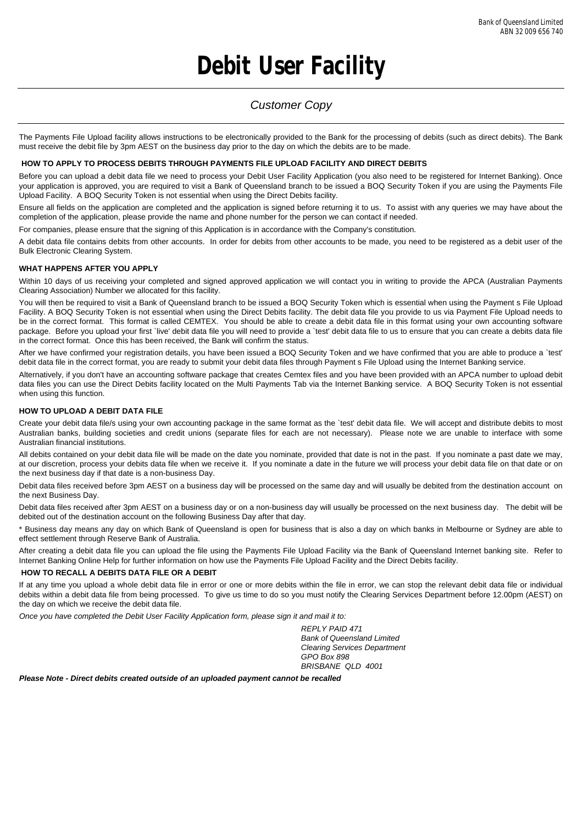# **Debit User Facility**

### *Customer Copy*

The Payments File Upload facility allows instructions to be electronically provided to the Bank for the processing of debits (such as direct debits). The Bank must receive the debit file by 3pm AEST on the business day prior to the day on which the debits are to be made.

#### **HOW TO APPLY TO PROCESS DEBITS THROUGH PAYMENTS FILE UPLOAD FACILITY AND DIRECT DEBITS**

Before you can upload a debit data file we need to process your Debit User Facility Application (you also need to be registered for Internet Banking). Once your application is approved, you are required to visit a Bank of Queensland branch to be issued a BOQ Security Token if you are using the Payments File Upload Facility. A BOQ Security Token is not essential when using the Direct Debits facility.

Ensure all fields on the application are completed and the application is signed before returning it to us. To assist with any queries we may have about the completion of the application, please provide the name and phone number for the person we can contact if needed.

For companies, please ensure that the signing of this Application is in accordance with the Company's constitution.

A debit data file contains debits from other accounts. In order for debits from other accounts to be made, you need to be registered as a debit user of the Bulk Electronic Clearing System.

#### **WHAT HAPPENS AFTER YOU APPLY**

Within 10 days of us receiving your completed and signed approved application we will contact you in writing to provide the APCA (Australian Payments Clearing Association) Number we allocated for this facility.

You will then be required to visit a Bank of Queensland branch to be issued a BOQ Security Token which is essential when using the Payment s File Upload Facility. A BOQ Security Token is not essential when using the Direct Debits facility. The debit data file you provide to us via Payment File Upload needs to be in the correct format. This format is called CEMTEX. You should be able to create a debit data file in this format using your own accounting software package. Before you upload your first `live' debit data file you will need to provide a `test' debit data file to us to ensure that you can create a debits data file in the correct format. Once this has been received, the Bank will confirm the status.

After we have confirmed your registration details, you have been issued a BOQ Security Token and we have confirmed that you are able to produce a `test' debit data file in the correct format, you are ready to submit your debit data files through Payment s File Upload using the Internet Banking service.

Alternatively, if you don't have an accounting software package that creates Cemtex files and you have been provided with an APCA number to upload debit data files you can use the Direct Debits facility located on the Multi Payments Tab via the Internet Banking service. A BOQ Security Token is not essential when using this function.

#### **HOW TO UPLOAD A DEBIT DATA FILE**

Create your debit data file/s using your own accounting package in the same format as the `test' debit data file. We will accept and distribute debits to most Australian banks, building societies and credit unions (separate files for each are not necessary). Please note we are unable to interface with some Australian financial institutions.

All debits contained on your debit data file will be made on the date you nominate, provided that date is not in the past. If you nominate a past date we may, at our discretion, process your debits data file when we receive it. If you nominate a date in the future we will process your debit data file on that date or on the next business day if that date is a non-business Day.

Debit data files received before 3pm AEST on a business day will be processed on the same day and will usually be debited from the destination account on the next Business Day.

Debit data files received after 3pm AEST on a business day or on a non-business day will usually be processed on the next business day. The debit will be debited out of the destination account on the following Business Day after that day.

\* Business day means any day on which Bank of Queensland is open for business that is also a day on which banks in Melbourne or Sydney are able to effect settlement through Reserve Bank of Australia.

After creating a debit data file you can upload the file using the Payments File Upload Facility via the Bank of Queensland Internet banking site. Refer to Internet Banking Online Help for further information on how use the Payments File Upload Facility and the Direct Debits facility.

#### **HOW TO RECALL A DEBITS DATA FILE OR A DEBIT**

If at any time you upload a whole debit data file in error or one or more debits within the file in error, we can stop the relevant debit data file or individual debits within a debit data file from being processed. To give us time to do so you must notify the Clearing Services Department before 12.00pm (AEST) on the day on which we receive the debit data file.

*Once you have completed the Debit User Facility Application form, please sign it and mail it to:*

*REPLY PAID 471 Bank of Queensland Limited Clearing Services Department GPO Box 898 BRISBANE QLD 4001* 

*Please Note - Direct debits created outside of an uploaded payment cannot be recalled*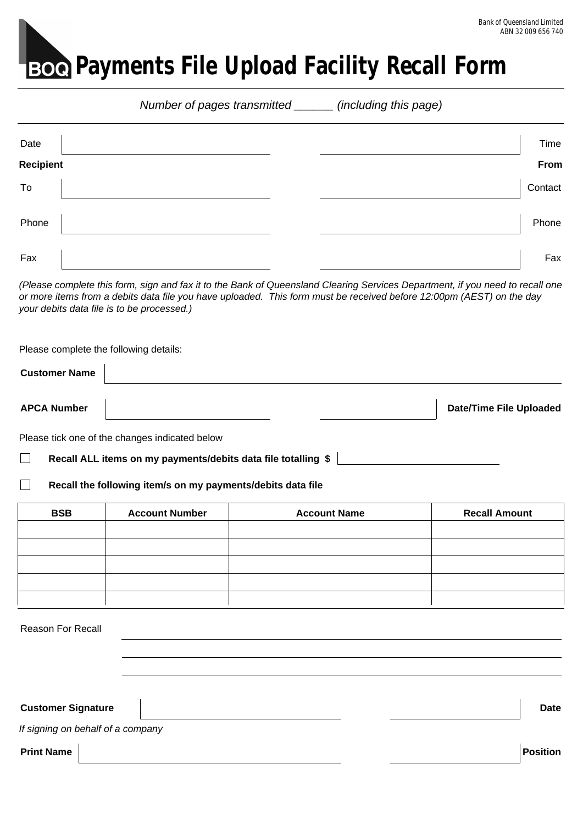# **Boe** Payments File Upload Facility Recall Form

|                          |                           |                                                                                                                                                                    | Number of pages transmitted ______ (including this page) |                                                                                                                               |
|--------------------------|---------------------------|--------------------------------------------------------------------------------------------------------------------------------------------------------------------|----------------------------------------------------------|-------------------------------------------------------------------------------------------------------------------------------|
| Date<br><b>Recipient</b> |                           |                                                                                                                                                                    |                                                          | Time<br><b>From</b>                                                                                                           |
| To                       |                           |                                                                                                                                                                    |                                                          | Contact                                                                                                                       |
| Phone                    |                           |                                                                                                                                                                    |                                                          | Phone                                                                                                                         |
| Fax                      |                           |                                                                                                                                                                    |                                                          | Fax                                                                                                                           |
|                          |                           | or more items from a debits data file you have uploaded. This form must be received before 12:00pm (AEST) on the day<br>your debits data file is to be processed.) |                                                          | (Please complete this form, sign and fax it to the Bank of Queensland Clearing Services Department, if you need to recall one |
|                          |                           | Please complete the following details:                                                                                                                             |                                                          |                                                                                                                               |
| <b>Customer Name</b>     |                           |                                                                                                                                                                    |                                                          |                                                                                                                               |
| <b>APCA Number</b>       |                           |                                                                                                                                                                    |                                                          | <b>Date/Time File Uploaded</b>                                                                                                |
|                          |                           | Please tick one of the changes indicated below<br>Recall ALL items on my payments/debits data file totalling \$                                                    |                                                          |                                                                                                                               |
| $\overline{\phantom{a}}$ |                           | Recall the following item/s on my payments/debits data file                                                                                                        |                                                          |                                                                                                                               |
|                          | <b>BSB</b>                | <b>Account Number</b>                                                                                                                                              | <b>Account Name</b>                                      | <b>Recall Amount</b>                                                                                                          |
|                          |                           |                                                                                                                                                                    |                                                          |                                                                                                                               |
|                          |                           |                                                                                                                                                                    |                                                          |                                                                                                                               |
|                          |                           |                                                                                                                                                                    |                                                          |                                                                                                                               |
|                          | Reason For Recall         |                                                                                                                                                                    |                                                          |                                                                                                                               |
|                          |                           |                                                                                                                                                                    |                                                          |                                                                                                                               |
|                          | <b>Customer Signature</b> |                                                                                                                                                                    |                                                          | <b>Date</b>                                                                                                                   |
|                          |                           | If signing on behalf of a company                                                                                                                                  |                                                          |                                                                                                                               |
| <b>Print Name</b>        |                           |                                                                                                                                                                    |                                                          | <b>Position</b>                                                                                                               |